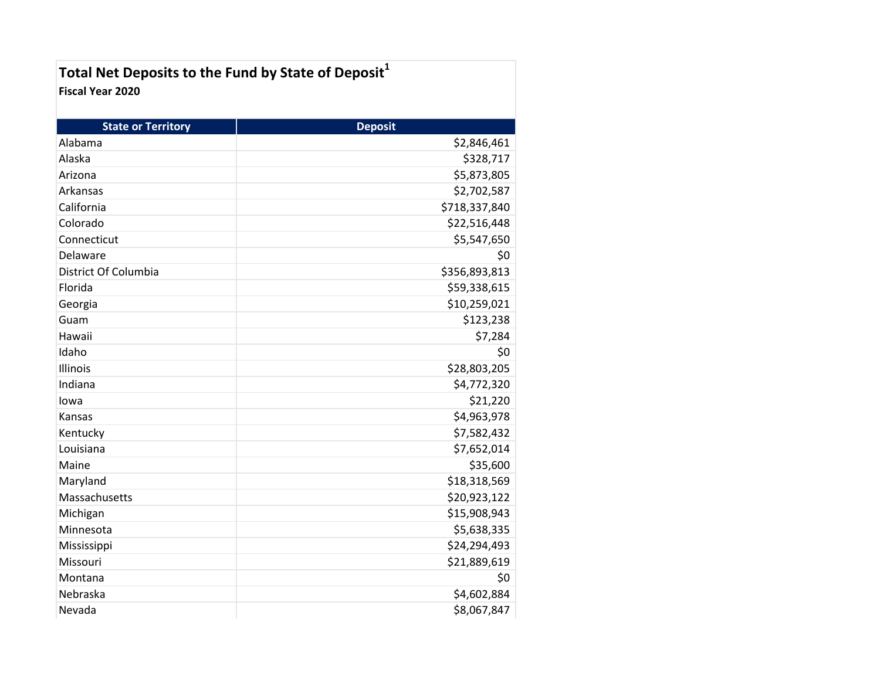| Total Net Deposits to the Fund by State of Deposit <sup>1</sup> |  |
|-----------------------------------------------------------------|--|
| Fiscal Year 2020                                                |  |

| <b>State or Territory</b> | <b>Deposit</b> |
|---------------------------|----------------|
| Alabama                   | \$2,846,461    |
| Alaska                    | \$328,717      |
| Arizona                   | \$5,873,805    |
| Arkansas                  | \$2,702,587    |
| California                | \$718,337,840  |
| Colorado                  | \$22,516,448   |
| Connecticut               | \$5,547,650    |
| Delaware                  | \$0            |
| District Of Columbia      | \$356,893,813  |
| Florida                   | \$59,338,615   |
| Georgia                   | \$10,259,021   |
| Guam                      | \$123,238      |
| Hawaii                    | \$7,284        |
| Idaho                     | \$0            |
| Illinois                  | \$28,803,205   |
| Indiana                   | \$4,772,320    |
| lowa                      | \$21,220       |
| Kansas                    | \$4,963,978    |
| Kentucky                  | \$7,582,432    |
| Louisiana                 | \$7,652,014    |
| Maine                     | \$35,600       |
| Maryland                  | \$18,318,569   |
| Massachusetts             | \$20,923,122   |
| Michigan                  | \$15,908,943   |
| Minnesota                 | \$5,638,335    |
| Mississippi               | \$24,294,493   |
| Missouri                  | \$21,889,619   |
| Montana                   | \$0            |
| Nebraska                  | \$4,602,884    |
| Nevada                    | \$8,067,847    |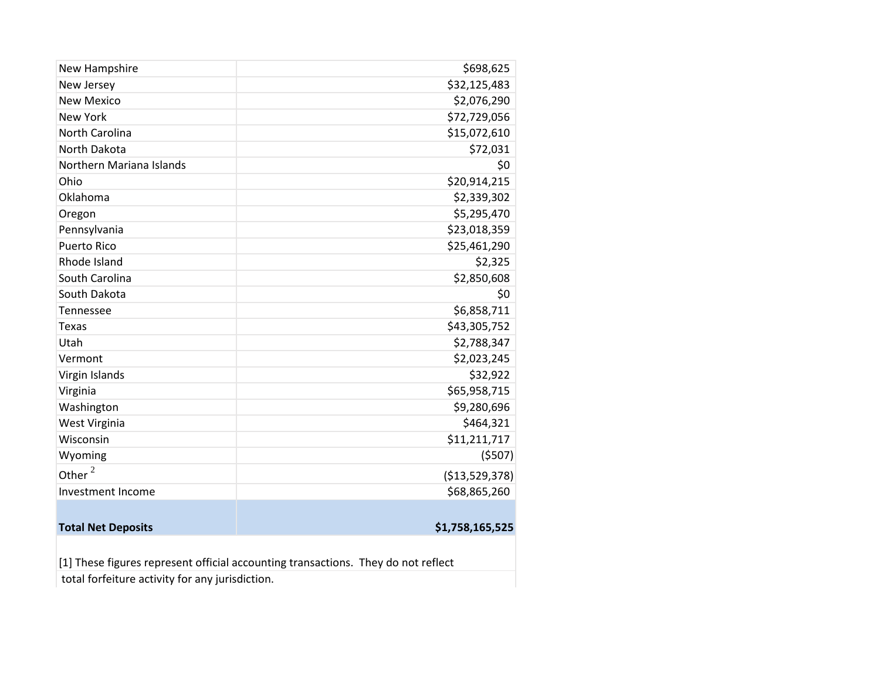| New Hampshire             | \$698,625       |
|---------------------------|-----------------|
| New Jersey                | \$32,125,483    |
| <b>New Mexico</b>         | \$2,076,290     |
| <b>New York</b>           | \$72,729,056    |
| North Carolina            | \$15,072,610    |
| <b>North Dakota</b>       | \$72,031        |
| Northern Mariana Islands  | \$0             |
| Ohio                      | \$20,914,215    |
| Oklahoma                  | \$2,339,302     |
| Oregon                    | \$5,295,470     |
| Pennsylvania              | \$23,018,359    |
| <b>Puerto Rico</b>        | \$25,461,290    |
| Rhode Island              | \$2,325         |
| South Carolina            | \$2,850,608     |
| South Dakota              | \$0             |
| Tennessee                 | \$6,858,711     |
| <b>Texas</b>              | \$43,305,752    |
| Utah                      | \$2,788,347     |
| Vermont                   | \$2,023,245     |
| Virgin Islands            | \$32,922        |
| Virginia                  | \$65,958,715    |
| Washington                | \$9,280,696     |
| West Virginia             | \$464,321       |
| Wisconsin                 | \$11,211,717    |
| Wyoming                   | (5507)          |
| Other <sup>2</sup>        | ( \$13,529,378) |
| Investment Income         | \$68,865,260    |
|                           |                 |
| <b>Total Net Deposits</b> | \$1,758,165,525 |
|                           |                 |

 $\vert$ [1] These figures represent official accounting transactions. They do not reflect

total forfeiture activity for any jurisdiction.